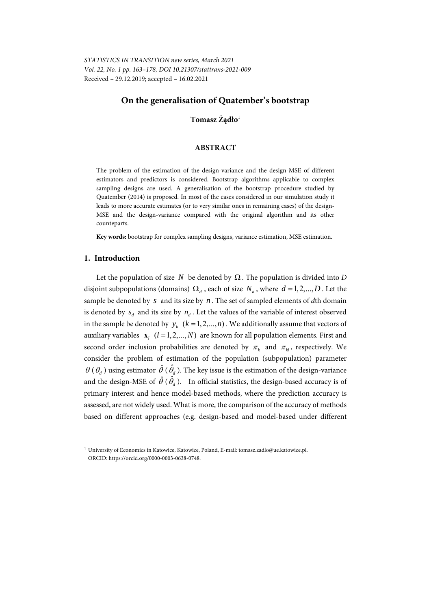*STATISTICS IN TRANSITION new series, March 2021 Vol. 22, No. 1 pp. 163–178, DOI 10.21307/stattrans-2021-009*  Received – 29.12.2019; accepted – 16.02.2021

# **On the generalisation of Quatember's bootstrap**

**Tomasz Żądło**<sup>1</sup>

## **ABSTRACT**

The problem of the estimation of the design-variance and the design-MSE of different estimators and predictors is considered. Bootstrap algorithms applicable to complex sampling designs are used. A generalisation of the bootstrap procedure studied by Quatember (2014) is proposed. In most of the cases considered in our simulation study it leads to more accurate estimates (or to very similar ones in remaining cases) of the design-MSE and the design-variance compared with the original algorithm and its other counteparts.

**Key words:** bootstrap for complex sampling designs, variance estimation, MSE estimation.

### **1. Introduction**

l

Let the population of size *N* be denoted by  $\Omega$ . The population is divided into *D* disjoint subpopulations (domains)  $\Omega_d$ , each of size  $N_d$ , where  $d = 1, 2, ..., D$ . Let the sample be denoted by *s* and its size by *n* . The set of sampled elements of *d*th domain is denoted by  $s_d$  and its size by  $n_d$ . Let the values of the variable of interest observed in the sample be denoted by  $y_k$  ( $k = 1, 2, ..., n$ ). We additionally assume that vectors of auxiliary variables  $\mathbf{x}_i$  ( $l = 1,2,...,N$ ) are known for all population elements. First and second order inclusion probabilities are denoted by  $\pi_k$  and  $\pi_k$ , respectively. We consider the problem of estimation of the population (subpopulation) parameter  $\theta$  ( $\theta$ <sub>d</sub>) using estimator  $\hat{\theta}$  ( $\hat{\theta}$ <sub>d</sub>). The key issue is the estimation of the design-variance and the design-MSE of  $\hat{\theta}$  ( $\hat{\theta}_d$ ). In official statistics, the design-based accuracy is of primary interest and hence model-based methods, where the prediction accuracy is assessed, are not widely used. What is more, the comparison of the accuracy of methods based on different approaches (e.g. design-based and model-based under different

<sup>&</sup>lt;sup>1</sup> University of Economics in Katowice, Katowice, Poland, E-mail: tomasz.zadlo@ue.katowice.pl. ORCID: https://orcid.org/0000-0003-0638-0748.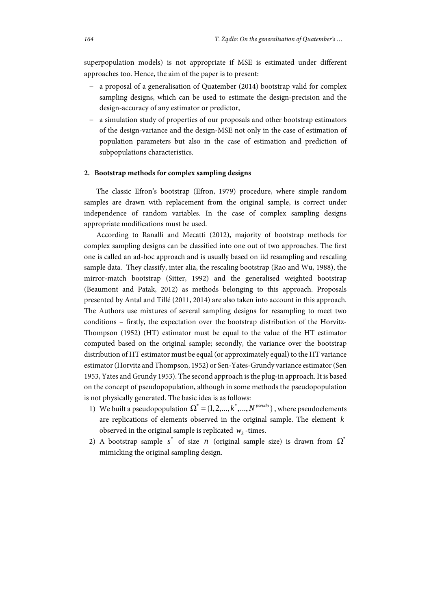superpopulation models) is not appropriate if MSE is estimated under different approaches too. Hence, the aim of the paper is to present:

- a proposal of a generalisation of Quatember (2014) bootstrap valid for complex sampling designs, which can be used to estimate the design-precision and the design-accuracy of any estimator or predictor,
- a simulation study of properties of our proposals and other bootstrap estimators of the design-variance and the design-MSE not only in the case of estimation of population parameters but also in the case of estimation and prediction of subpopulations characteristics.

## **2. Bootstrap methods for complex sampling designs**

The classic Efron's bootstrap (Efron, 1979) procedure, where simple random samples are drawn with replacement from the original sample, is correct under independence of random variables. In the case of complex sampling designs appropriate modifications must be used.

According to Ranalli and Mecatti (2012), majority of bootstrap methods for complex sampling designs can be classified into one out of two approaches. The first one is called an ad-hoc approach and is usually based on iid resampling and rescaling sample data. They classify, inter alia, the rescaling bootstrap (Rao and Wu, 1988), the mirror-match bootstrap (Sitter, 1992) and the generalised weighted bootstrap (Beaumont and Patak, 2012) as methods belonging to this approach. Proposals presented by Antal and Tillé (2011, 2014) are also taken into account in this approach. The Authors use mixtures of several sampling designs for resampling to meet two conditions – firstly, the expectation over the bootstrap distribution of the Horvitz-Thompson (1952) (HT) estimator must be equal to the value of the HT estimator computed based on the original sample; secondly, the variance over the bootstrap distribution of HT estimator must be equal (or approximately equal) to the HT variance estimator (Horvitz and Thompson, 1952) or Sen-Yates-Grundy variance estimator (Sen 1953, Yates and Grundy 1953). The second approach is the plug-in approach. It is based on the concept of pseudopopulation, although in some methods the pseudopopulation is not physically generated. The basic idea is as follows:

- 1) We built a pseudopopulation  $\Omega^* = \{1, 2, ..., k^*, ..., N^{pseudo}\}\$ , where pseudoelements are replications of elements observed in the original sample. The element *k* observed in the original sample is replicated  $w_k$ -times.
- 2) A bootstrap sample  $s^*$  of size *n* (original sample size) is drawn from  $\Omega^*$ mimicking the original sampling design.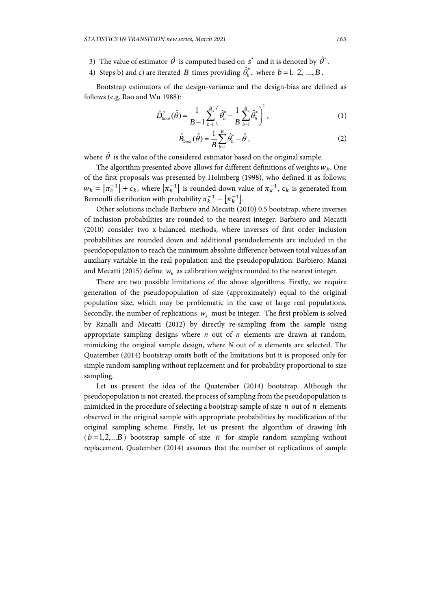- 3) The value of estimator  $\hat{\theta}$  is computed based on  $s^*$  and it is denoted by  $\hat{\theta}^*$ .
- 4) Steps b) and c) are iterated *B* times providing  $\hat{\theta}_b^*$ , where  $b = 1, 2, ..., B$ .

Bootstrap estimators of the design-variance and the design-bias are defined as follows (e.g. Rao and Wu 1988):

$$
\hat{D}_{boot}^2(\hat{\theta}) = \frac{1}{B-1} \sum_{b=1}^{B} \left( \hat{\theta}_b^* - \frac{1}{B} \sum_{b=1}^{B} \hat{\theta}_b^* \right)^2, \tag{1}
$$

$$
\hat{B}_{\text{boot}}(\hat{\theta}) = \frac{1}{B} \sum_{b=1}^{B} \hat{\theta}_{b}^{*} - \hat{\theta},
$$
\n(2)

where  $\hat{\theta}$  is the value of the considered estimator based on the original sample.

The algorithm presented above allows for different definitions of weights  $w_k$ . One of the first proposals was presented by Holmberg (1998), who defined it as follows:  $w_k = \left[\pi_k^{-1}\right] + \epsilon_k$ , where  $\left[\pi_k^{-1}\right]$  is rounded down value of  $\pi_k^{-1}$ ,  $\epsilon_k$  is generated from Bernoulli distribution with probability  $\pi_k^{-1} - \left[\pi_k^{-1}\right]$ .

Other solutions include Barbiero and Mecatti (2010) 0.5 bootstrap, where inverses of inclusion probabilities are rounded to the nearest integer. Barbiero and Mecatti (2010) consider two x-balanced methods, where inverses of first order inclusion probabilities are rounded down and additional pseudoelements are included in the pseudopopulation to reach the minimum absolute difference between total values of an auxiliary variable in the real population and the pseudopopulation. Barbiero, Manzi and Mecatti (2015) define  $w_k$  as calibration weights rounded to the nearest integer.

There are two possible limitations of the above algorithms. Firstly, we require generation of the pseudopopulation of size (approximately) equal to the original population size, which may be problematic in the case of large real populations. Secondly, the number of replications  $w_k$  must be integer. The first problem is solved by Ranalli and Mecatti (2012) by directly re-sampling from the sample using appropriate sampling designs where *n* out of *n* elements are drawn at random, mimicking the original sample design, where *N* out of *n* elements are selected. The Quatember (2014) bootstrap omits both of the limitations but it is proposed only for simple random sampling without replacement and for probability proportional to size sampling.

Let us present the idea of the Quatember (2014) bootstrap. Although the pseudopopulation is not created, the process of sampling from the pseudopopulation is mimicked in the procedure of selecting a bootstrap sample of size *n* out of *n* elements observed in the original sample with appropriate probabilities by modification of the original sampling scheme. Firstly, let us present the algorithm of drawing *b*th  $(b=1,2,...B)$  bootstrap sample of size *n* for simple random sampling without replacement. Quatember (2014) assumes that the number of replications of sample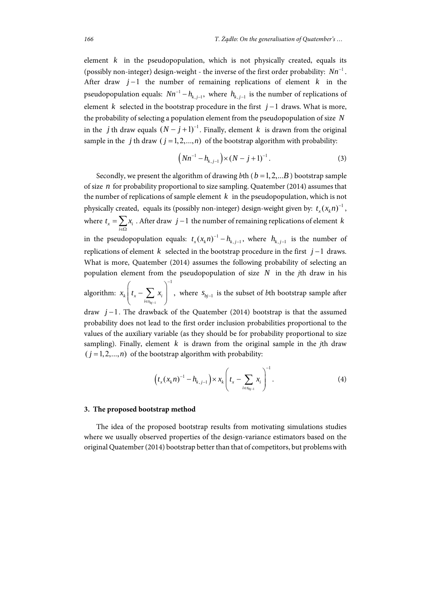element  $k$  in the pseudopopulation, which is not physically created, equals its (possibly non-integer) design-weight - the inverse of the first order probability:  $Nn^{-1}$ . After draw  $j-1$  the number of remaining replications of element  $k$  in the pseudopopulation equals:  $Nn^{-1} - h_{k,j-1}$ , where  $h_{k,j-1}$  is the number of replications of element *k* selected in the bootstrap procedure in the first  $j-1$  draws. What is more, the probability of selecting a population element from the pseudopopulation of size *N* in the *j* th draw equals  $(N - j + 1)^{-1}$ . Finally, element *k* is drawn from the original sample in the *j* th draw  $(j = 1, 2, ..., n)$  of the bootstrap algorithm with probability:

$$
(Nn^{-1} - h_{k,j-1}) \times (N - j + 1)^{-1}.
$$
 (3)

Secondly, we present the algorithm of drawing *b*th ( $b = 1, 2, \dots, B$ ) bootstrap sample of size *n* for probability proportional to size sampling. Quatember (2014) assumes that the number of replications of sample element  $k$  in the pseudopopulation, which is not physically created, equals its (possibly non-integer) design-weight given by:  $t_r(x_i n)^{-1}$ , where  $t_x = \sum_i x_i$ *i*  $=\sum_{i\in\Omega}x_i$ . After draw  $j-1$  the number of remaining replications of element *k* in the pseudopopulation equals:  $t_x(x_k n)^{-1} - h_{k,j-1}$ , where  $h_{k,j-1}$  is the number of replications of element *k* selected in the bootstrap procedure in the first  $j-1$  draws. What is more, Quatember (2014) assumes the following probability of selecting an population element from the pseudopopulation of size *N* in the *j*th draw in his

algorithm: 1 , *bj*  $\left\{ \begin{array}{c} \iota_x \sim \iota_x \\ i \in s_{bi-1} \end{array} \right.$  $x_k$   $t_r$   $\sum x$ i, iε  $\left(t_x - \sum_{i \in s_{b_j-1}} x_i\right)^{-1}$ , where  $s_{b_j-1}$  is the subset of *b*th bootstrap sample after

1

÷

draw  $j-1$ . The drawback of the Quatember (2014) bootstrap is that the assumed probability does not lead to the first order inclusion probabilities proportional to the values of the auxiliary variable (as they should be for probability proportional to size sampling). Finally, element *k* is drawn from the original sample in the *j*th draw  $(j = 1,2,...,n)$  of the bootstrap algorithm with probability:

$$
\left(t_x(x_k n)^{-1} - h_{k,j-1}\right) \times x_k \left(t_x - \sum_{i \in s_{b_j-1}} x_i\right)^{-1}.
$$
 (4)

#### **3. The proposed bootstrap method**

The idea of the proposed bootstrap results from motivating simulations studies where we usually observed properties of the design-variance estimators based on the original Quatember (2014) bootstrap better than that of competitors, but problems with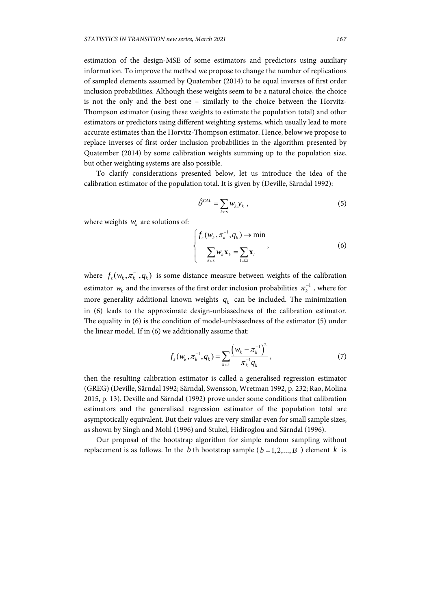estimation of the design-MSE of some estimators and predictors using auxiliary information. To improve the method we propose to change the number of replications of sampled elements assumed by Quatember (2014) to be equal inverses of first order inclusion probabilities. Although these weights seem to be a natural choice, the choice is not the only and the best one – similarly to the choice between the Horvitz-Thompson estimator (using these weights to estimate the population total) and other estimators or predictors using different weighting systems, which usually lead to more accurate estimates than the Horvitz-Thompson estimator. Hence, below we propose to replace inverses of first order inclusion probabilities in the algorithm presented by Quatember (2014) by some calibration weights summing up to the population size, but other weighting systems are also possible.

To clarify considerations presented below, let us introduce the idea of the calibration estimator of the population total. It is given by (Deville, Särndal 1992):

$$
\hat{\theta}^{CAL} = \sum_{k \in s} w_k y_k \,, \tag{5}
$$

where weights  $w_k$  are solutions of:

$$
\begin{cases}\nf_s(w_k, \pi_k^{-1}, q_k) \to \min \\
\sum_{k \in S} w_k \mathbf{x}_k = \sum_{l \in \Omega} \mathbf{x}_l\n\end{cases}
$$
\n(6)

where  $f_s(w_k, \pi_k^{-1}, q_k)$  is some distance measure between weights of the calibration estimator  $w_k$  and the inverses of the first order inclusion probabilities  $\pi_k^{-1}$  , where for more generality additional known weights  $q_k$  can be included. The minimization in (6) leads to the approximate design-unbiasedness of the calibration estimator. The equality in (6) is the condition of model-unbiasedness of the estimator (5) under the linear model. If in (6) we additionally assume that:

$$
f_s(w_k, \pi_k^{-1}, q_k) = \sum_{k \in s} \frac{\left(w_k - \pi_k^{-1}\right)^2}{\pi_k^{-1} q_k}, \qquad (7)
$$

then the resulting calibration estimator is called a generalised regression estimator (GREG) (Deville, Särndal 1992; Särndal, Swensson, Wretman 1992, p. 232; Rao, Molina 2015, p. 13). Deville and Särndal (1992) prove under some conditions that calibration estimators and the generalised regression estimator of the population total are asymptotically equivalent. But their values are very similar even for small sample sizes, as shown by Singh and Mohl (1996) and Stukel, Hidiroglou and Särndal (1996).

Our proposal of the bootstrap algorithm for simple random sampling without replacement is as follows. In the *b* th bootstrap sample ( $b = 1, 2, ..., B$ ) element *k* is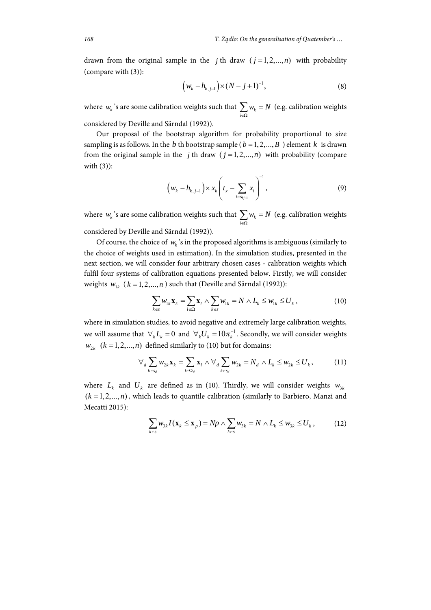drawn from the original sample in the *j* th draw  $(j=1,2,...,n)$  with probability (compare with (3)):

$$
(w_k - h_{k,j-1}) \times (N - j + 1)^{-1},
$$
 (8)

where  $w_k$  's are some calibration weights such that  $\sum_{i\in\Omega}w_k$  $w_k = N$  $\sum_{i\in\Omega}w_k=N$  (e.g. calibration weights

considered by Deville and Särndal (1992)).

Our proposal of the bootstrap algorithm for probability proportional to size sampling is as follows. In the *b* th bootstrap sample ( $b = 1, 2, ..., B$ ) element *k* is drawn from the original sample in the *j* th draw  $(j = 1, 2, ..., n)$  with probability (compare with (3)):

$$
\left(w_k - h_{k,j-1}\right) \times x_k \left(t_x - \sum_{i \in s_{kj-1}} x_i\right)^{-1},\tag{9}
$$

where  $w_k$  's are some calibration weights such that  $\sum_{i\in\Omega}w_k$  $w_k = N$  $\sum_{i\in\Omega}w_k=N$  (e.g. calibration weights considered by Deville and Särndal (1992)).

Of course, the choice of  $w_k$ 's in the proposed algorithms is ambiguous (similarly to the choice of weights used in estimation). In the simulation studies, presented in the next section, we will consider four arbitrary chosen cases - calibration weights which fulfil four systems of calibration equations presented below. Firstly, we will consider weights  $w_{1k}$  ( $k = 1, 2, ..., n$ ) such that (Deville and Särndal (1992)):

$$
\sum_{k \in S} w_{1k} \mathbf{x}_k = \sum_{l \in \Omega} \mathbf{x}_l \wedge \sum_{k \in S} w_{1k} = N \wedge L_k \leq w_{1k} \leq U_k, \qquad (10)
$$

where in simulation studies, to avoid negative and extremely large calibration weights, we will assume that  $\forall_k L_k = 0$  and  $\forall_k U_k = 10 \pi_k^{-1}$ . Secondly, we will consider weights  $w_{2k}$  ( $k = 1, 2, ..., n$ ) defined similarly to (10) but for domains:

$$
\forall_{d} \sum_{k \in s_{d}} w_{2k} \mathbf{x}_{k} = \sum_{l \in \Omega_{d}} \mathbf{x}_{l} \wedge \forall_{d} \sum_{k \in s_{d}} w_{2k} = N_{d} \wedge L_{k} \leq w_{2k} \leq U_{k}, \qquad (11)
$$

where  $L_k$  and  $U_k$  are defined as in (10). Thirdly, we will consider weights  $w_{3k}$  $(k = 1, 2, \ldots, n)$ , which leads to quantile calibration (similarly to Barbiero, Manzi and Mecatti 2015):

$$
\sum_{k\in s} w_{3k} I(\mathbf{x}_k \le \mathbf{x}_p) = Np \wedge \sum_{k\in s} w_{3k} = N \wedge L_k \le w_{3k} \le U_k, \qquad (12)
$$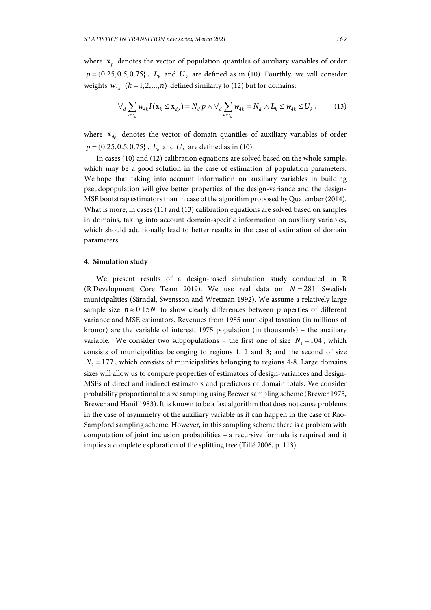where  $\mathbf{x}_n$  denotes the vector of population quantiles of auxiliary variables of order  $p = \{0.25, 0.5, 0.75\}$ ,  $L_k$  and  $U_k$  are defined as in (10). Fourthly, we will consider weights  $w_{4k}$   $(k = 1, 2, ..., n)$  defined similarly to (12) but for domains:

$$
\forall_{d} \sum_{k \in s_d} w_{4k} I(\mathbf{x}_k \le \mathbf{x}_{dp}) = N_d p \wedge \forall_{d} \sum_{k \in s_d} w_{4k} = N_d \wedge L_k \le w_{4k} \le U_k,
$$
 (13)

where  $\mathbf{x}_{dp}$  denotes the vector of domain quantiles of auxiliary variables of order  $p = \{0.25, 0.5, 0.75\}$ ,  $L_k$  and  $U_k$  are defined as in (10).

In cases (10) and (12) calibration equations are solved based on the whole sample, which may be a good solution in the case of estimation of population parameters. We hope that taking into account information on auxiliary variables in building pseudopopulation will give better properties of the design-variance and the design-MSE bootstrap estimators than in case of the algorithm proposed by Quatember (2014). What is more, in cases (11) and (13) calibration equations are solved based on samples in domains, taking into account domain-specific information on auxiliary variables, which should additionally lead to better results in the case of estimation of domain parameters.

#### **4. Simulation study**

We present results of a design-based simulation study conducted in R (R Development Core Team 2019). We use real data on  $N = 281$  Swedish municipalities (Särndal, Swensson and Wretman 1992). We assume a relatively large sample size  $n \approx 0.15N$  to show clearly differences between properties of different variance and MSE estimators. Revenues from 1985 municipal taxation (in millions of kronor) are the variable of interest, 1975 population (in thousands) – the auxiliary variable. We consider two subpopulations – the first one of size  $N_1 = 104$ , which consists of municipalities belonging to regions 1, 2 and 3; and the second of size  $N<sub>2</sub> = 177$ , which consists of municipalities belonging to regions 4-8. Large domains sizes will allow us to compare properties of estimators of design-variances and design-MSEs of direct and indirect estimators and predictors of domain totals. We consider probability proportional to size sampling using Brewer sampling scheme (Brewer 1975, Brewer and Hanif 1983). It is known to be a fast algorithm that does not cause problems in the case of asymmetry of the auxiliary variable as it can happen in the case of Rao-Sampford sampling scheme. However, in this sampling scheme there is a problem with computation of joint inclusion probabilities – a recursive formula is required and it implies a complete exploration of the splitting tree (Tillé 2006, p. 113).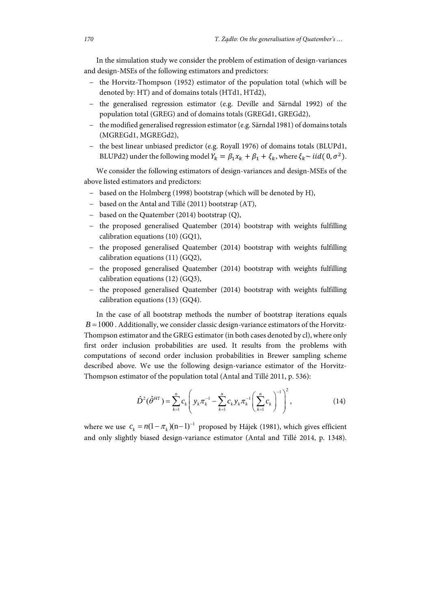In the simulation study we consider the problem of estimation of design-variances and design-MSEs of the following estimators and predictors:

- − the Horvitz-Thompson (1952) estimator of the population total (which will be denoted by: HT) and of domains totals (HTd1, HTd2),
- − the generalised regression estimator (e.g. Deville and Särndal 1992) of the population total (GREG) and of domains totals (GREGd1, GREGd2),
- − the modified generalised regression estimator (e.g. Särndal 1981) of domains totals (MGREGd1, MGREGd2),
- − the best linear unbiased predictor (e.g. Royall 1976) of domains totals (BLUPd1, BLUPd2) under the following model  $Y_k = \beta_1 x_k + \beta_1 + \xi_k$ , where  $\xi_k \sim \textit{iid}(0, \sigma^2)$ .

We consider the following estimators of design-variances and design-MSEs of the above listed estimators and predictors:

- − based on the Holmberg (1998) bootstrap (which will be denoted by H),
- − based on the Antal and Tillé (2011) bootstrap (AT),
- − based on the Quatember (2014) bootstrap (Q),
- − the proposed generalised Quatember (2014) bootstrap with weights fulfilling calibration equations (10) (GQ1),
- − the proposed generalised Quatember (2014) bootstrap with weights fulfilling calibration equations (11) (GQ2),
- − the proposed generalised Quatember (2014) bootstrap with weights fulfilling calibration equations (12) (GQ3),
- − the proposed generalised Quatember (2014) bootstrap with weights fulfilling calibration equations (13) (GQ4).

In the case of all bootstrap methods the number of bootstrap iterations equals  $B = 1000$ . Additionally, we consider classic design-variance estimators of the Horvitz-Thompson estimator and the GREG estimator (in both cases denoted by cl), where only first order inclusion probabilities are used. It results from the problems with computations of second order inclusion probabilities in Brewer sampling scheme described above. We use the following design-variance estimator of the Horvitz-Thompson estimator of the population total (Antal and Tillé 2011, p. 536):

$$
\hat{D}^2(\hat{\theta}^{HT}) = \sum_{k=1}^n c_k \left( y_k \pi_k^{-1} - \sum_{k=1}^n c_k y_k \pi_k^{-1} \left( \sum_{k=1}^n c_k \right)^{-1} \right)^2, \tag{14}
$$

where we use  $c_k = n(1 - \pi_k)(n - 1)^{-1}$  proposed by Hájek (1981), which gives efficient and only slightly biased design-variance estimator (Antal and Tillé 2014, p. 1348).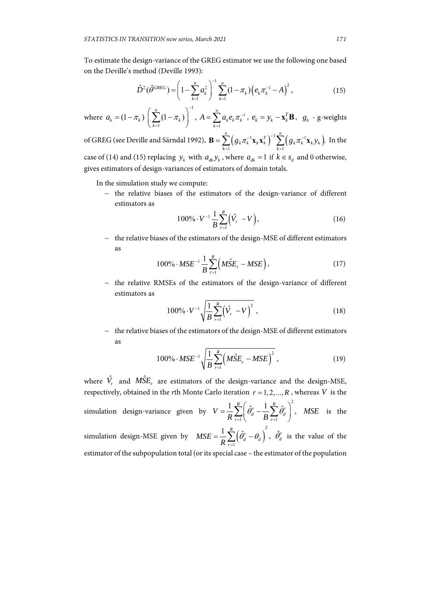To estimate the design-variance of the GREG estimator we use the following one based on the Deville's method (Deville 1993):

$$
\hat{D}^2(\hat{\theta}^{GREG}) = \left(1 - \sum_{k=1}^n a_k^2\right)^{-1} \sum_{k=1}^n (1 - \pi_k) \left(e_k \pi_k^{-1} - A\right)^2, \tag{15}
$$

where 1 1  $(1 - \pi_k) \left( \sum_{k=1}^{n} (1 - \pi_k) \right)^{-1},$  $a_k = (1 - \pi_k) \left( \sum_{k=1}^{k} (1 - \pi_k) \right)$  $= (1 - \pi_k) \left( \sum_{k=1}^n (1 - \pi_k) \right)^{-1}, A = \sum_{k=1}^n a_k e_k \pi_k^{-1}$ *n*  $A = \sum_{k=1}^n a_k e_k \pi_k^{-1}, e_k = y_k - \mathbf{x}_k^T \mathbf{B}, g_k$  - g-weights

of GREG (see Deville and Särndal 1992),  $\mathbf{B} = \sum_{k=1}^{n} \left( g_{k} \pi_{k}^{-1} \mathbf{x}_{k} \mathbf{x}_{k}^{T} \right)^{-1} \sum_{k=1}^{n} \left( g_{k} \pi_{k}^{-1} \mathbf{x}_{k} \mathbf{y}_{k} \right)^{-1}$  $k=1$  $\sum_{i=1}^{n} (g_{k} \pi_{k}^{-1} \mathbf{x}_{k} \mathbf{x}_{k}^{T})^{-1} \sum_{i=1}^{n} (g_{k} \pi_{k}^{-1} \mathbf{x}_{k} y_{k}).$  $\sum_{k=1}^{n} (g_k \pi_k^{-1} \mathbf{x}_k \mathbf{x}_k^T)^{-1} \sum_{k=1}^{n} (g_k \pi_k^{-1} \mathbf{x}_k y_k)$  $g_{k}\pi_{k}^{-1}\mathbf{x}_{k}\mathbf{x}_{k}^{T}\big)^{-1}\sum_{k}^{n} \Big(g_{k}\pi_{k}^{-1}\mathbf{x}_{k}^{T}\mathbf{y}_{k}^{T}$ **B** =  $\sum_{k=1}$   $(g_k \pi_k^{-1} \mathbf{x}_k \mathbf{x}_k^T)^{-1} \sum_{k=1}$   $(g_k \pi_k^{-1} \mathbf{x}_k y_k)$ . In the case of (14) and (15) replacing  $y_k$  with  $a_{dk} y_k$ , where  $a_{dk} = 1$  if  $k \in s_d$  and 0 otherwise, gives estimators of design-variances of estimators of domain totals.

In the simulation study we compute:

− the relative biases of the estimators of the design-variance of different estimators as

$$
100\% \cdot V^{-1} \frac{1}{B} \sum_{r=1}^{R} (\hat{V}_r - V), \tag{16}
$$

− the relative biases of the estimators of the design-MSE of different estimators as

$$
100\% \cdot MSE^{-1} \frac{1}{B} \sum_{r=1}^{R} \left( M\hat{S}E_r - MSE \right), \tag{17}
$$

− the relative RMSEs of the estimators of the design-variance of different estimators as

$$
100\% \cdot V^{-1} \sqrt{\frac{1}{B} \sum_{r=1}^{R} (\hat{V}_r - V)^2} , \qquad (18)
$$

− the relative biases of the estimators of the design-MSE of different estimators as

$$
100\% \cdot MSE^{-1} \sqrt{\frac{1}{B} \sum_{r=1}^{R} (M\hat{S}E_r - MSE)^2},
$$
\n(19)

where  $\hat{V}_r$  and  $\hat{MSE}_r$  are estimators of the design-variance and the design-MSE, respectively, obtained in the *r*th Monte Carlo iteration  $r = 1, 2, ..., R$ , whereas *V* is the simulation design-variance given by 2  $\cdot$ 1  $\qquad \qquad$   $\qquad \qquad$   $\qquad \qquad$   $\qquad \qquad$   $\qquad \qquad$   $\qquad \qquad$   $\qquad \qquad$   $\qquad \qquad$   $\qquad \qquad$   $\qquad \qquad$   $\qquad \qquad$   $\qquad \qquad$   $\qquad \qquad$   $\qquad \qquad$   $\qquad \qquad$   $\qquad \qquad$   $\qquad \qquad$   $\qquad \qquad$   $\qquad \qquad$   $\qquad \qquad$   $\qquad \qquad$   $\qquad \qquad$   $\qquad \qquad$   $\qquad \qquad$  $\frac{1}{R}\sum\limits_{r=1}^{R}\biggl(\hat{\theta}_{d}^{r}-\frac{1}{B}\sum\limits_{r=1}^{R}\hat{\theta}_{d}^{r}$ *V*  $\frac{1}{R}\sum_{r=1}^{R}\left(\frac{\theta_{d}^{r}}{B}-\frac{1}{B}\sum_{r=1}^{R}\theta_{d}^{r}\right)$  $=\frac{1}{R}\sum_{r=1}^{R}\left(\hat{\theta}_{d}^{r}-\frac{1}{B}\sum_{r=1}^{R}\hat{\theta}_{d}^{r}\right)^{2}$ , *MSE* is the simulation design-MSE given by  $MSE = \frac{1}{R} \sum_{r=1}^{R} (\hat{\theta}_d^r - \theta_d)^2$  $\frac{1}{R}\sum\limits_{r=1}^{R}\Bigl(\hat{\theta}_{d}^{r}-\theta_{d}% ^{r}+\hat{\theta}_{d}^{r}+\hat{\theta}_{d}^{r}+\hat{\theta}_{d}^{r}+\hat{\theta}_{d}^{r}+\hat{\theta}_{d}^{r}+\hat{\theta}_{d}^{r}+\hat{\theta}_{d}^{r}+\hat{\theta}_{d}^{r}+\hat{\theta}_{d}^{r}+\hat{\theta}_{d}^{r}+\hat{\theta}_{d}^{r}+\hat{\theta}_{d}^{r}+\hat{\theta}_{d}^{r}+\hat{\theta}_{d}^{r}+\hat{\theta}_{d}^{r}+\hat{\theta}_{d}^{r}+\hat{\theta}_{d}^{r}+\hat{\theta}_{d}^{r}+\$ *MSE*  $\frac{1}{R}\sum_{r=1}^{R}(\theta_d^r-\theta_d^r)$  $=\frac{1}{R}\sum_{r=1}^{R}\left(\hat{\theta}_{d}^{r}-\theta_{d}\right)$ ,  $\hat{\theta}_{d}^{r}$  is the value of the estimator of the subpopulation total (or its special case – the estimator of the population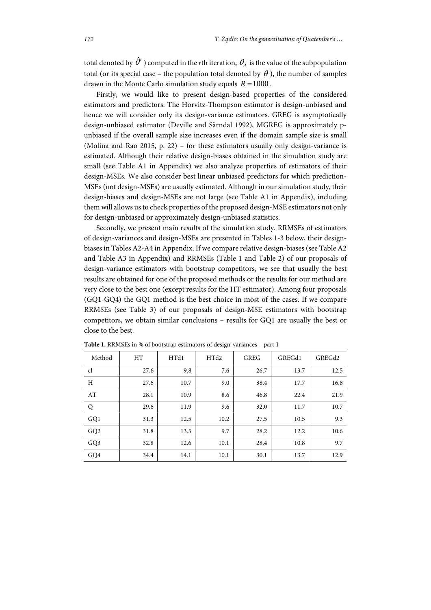total denoted by  $\hat{\theta}^r$ ) computed in the *r*th iteration,  $\theta_d$  is the value of the subpopulation total (or its special case – the population total denoted by  $\theta$ ), the number of samples drawn in the Monte Carlo simulation study equals  $R = 1000$ .

Firstly, we would like to present design-based properties of the considered estimators and predictors. The Horvitz-Thompson estimator is design-unbiased and hence we will consider only its design-variance estimators. GREG is asymptotically design-unbiased estimator (Deville and Särndal 1992), MGREG is approximately punbiased if the overall sample size increases even if the domain sample size is small (Molina and Rao 2015, p. 22) – for these estimators usually only design-variance is estimated. Although their relative design-biases obtained in the simulation study are small (see Table A1 in Appendix) we also analyze properties of estimators of their design-MSEs. We also consider best linear unbiased predictors for which prediction-MSEs (not design-MSEs) are usually estimated. Although in our simulation study, their design-biases and design-MSEs are not large (see Table A1 in Appendix), including them will allows us to check properties of the proposed design-MSE estimators not only for design-unbiased or approximately design-unbiased statistics.

Secondly, we present main results of the simulation study. RRMSEs of estimators of design-variances and design-MSEs are presented in Tables 1-3 below, their designbiases in Tables A2-A4 in Appendix. If we compare relative design-biases (see Table A2 and Table A3 in Appendix) and RRMSEs (Table 1 and Table 2) of our proposals of design-variance estimators with bootstrap competitors, we see that usually the best results are obtained for one of the proposed methods or the results for our method are very close to the best one (except results for the HT estimator). Among four proposals (GQ1-GQ4) the GQ1 method is the best choice in most of the cases. If we compare RRMSEs (see Table 3) of our proposals of design-MSE estimators with bootstrap competitors, we obtain similar conclusions – results for GQ1 are usually the best or close to the best.

| Method          | <b>HT</b> | HTd1 | HTd2 | <b>GREG</b> | GREG <sub>d1</sub> | GREG <sub>d2</sub> |
|-----------------|-----------|------|------|-------------|--------------------|--------------------|
| cl              | 27.6      | 9.8  | 7.6  | 26.7        | 13.7               | 12.5               |
| H               | 27.6      | 10.7 | 9.0  | 38.4        | 17.7               | 16.8               |
| AT              | 28.1      | 10.9 | 8.6  | 46.8        | 22.4               | 21.9               |
| Q               | 29.6      | 11.9 | 9.6  | 32.0        | 11.7               | 10.7               |
| GQ1             | 31.3      | 12.5 | 10.2 | 27.5        | 10.5               | 9.3                |
| GQ <sub>2</sub> | 31.8      | 13.5 | 9.7  | 28.2        | 12.2               | 10.6               |
| GQ3             | 32.8      | 12.6 | 10.1 | 28.4        | 10.8               | 9.7                |
| GQ4             | 34.4      | 14.1 | 10.1 | 30.1        | 13.7               | 12.9               |

**Table 1.** RRMSEs in % of bootstrap estimators of design-variances – part 1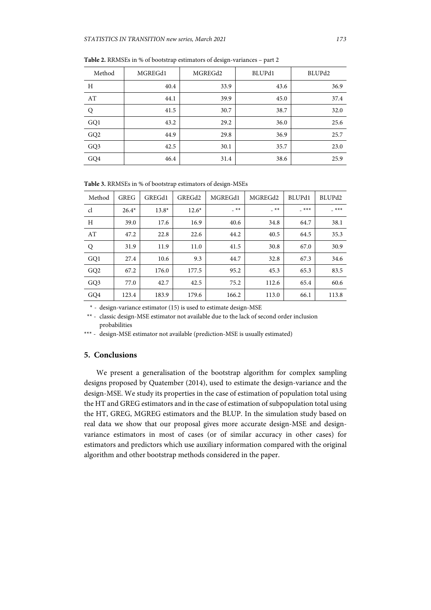| Method          | MGREGd1 | MGREGd2 | BLUPd1 | BLUPd2 |  |
|-----------------|---------|---------|--------|--------|--|
| Η               | 40.4    | 33.9    | 43.6   | 36.9   |  |
| AT              | 44.1    | 39.9    | 45.0   | 37.4   |  |
| Q               | 41.5    | 30.7    | 38.7   | 32.0   |  |
| GQ1             | 43.2    | 29.2    | 36.0   | 25.6   |  |
| GQ <sub>2</sub> | 44.9    | 29.8    | 36.9   | 25.7   |  |
| GQ3             | 42.5    | 30.1    | 35.7   | 23.0   |  |
| GQ4             | 46.4    | 31.4    | 38.6   | 25.9   |  |

**Table 2.** RRMSEs in % of bootstrap estimators of design-variances – part 2

**Table 3.** RRMSEs in % of bootstrap estimators of design-MSEs

| Method          | <b>GREG</b> | GREGd1  | GREG <sub>d2</sub> | MGREGd1 | MGREGd2 | BLUP <sub>d1</sub> | BLUPd <sub>2</sub> |
|-----------------|-------------|---------|--------------------|---------|---------|--------------------|--------------------|
| cl              | $26.4*$     | $13.8*$ | $12.6*$            | $-$ **  | $-***$  | $***$              | $***$              |
| H               | 39.0        | 17.6    | 16.9               | 40.6    | 34.8    | 64.7               | 38.1               |
| AT              | 47.2        | 22.8    | 22.6               | 44.2    | 40.5    | 64.5               | 35.3               |
| Q               | 31.9        | 11.9    | 11.0               | 41.5    | 30.8    | 67.0               | 30.9               |
| GQ1             | 27.4        | 10.6    | 9.3                | 44.7    | 32.8    | 67.3               | 34.6               |
| GQ <sub>2</sub> | 67.2        | 176.0   | 177.5              | 95.2    | 45.3    | 65.3               | 83.5               |
| GQ3             | 77.0        | 42.7    | 42.5               | 75.2    | 112.6   | 65.4               | 60.6               |
| GQ4             | 123.4       | 183.9   | 179.6              | 166.2   | 113.0   | 66.1               | 113.8              |

\* - design-variance estimator (15) is used to estimate design-MSE

 \*\* - classic design-MSE estimator not available due to the lack of second order inclusion probabilities

\*\*\* - design-MSE estimator not available (prediction-MSE is usually estimated)

## **5. Conclusions**

We present a generalisation of the bootstrap algorithm for complex sampling designs proposed by Quatember (2014), used to estimate the design-variance and the design-MSE. We study its properties in the case of estimation of population total using the HT and GREG estimators and in the case of estimation of subpopulation total using the HT, GREG, MGREG estimators and the BLUP. In the simulation study based on real data we show that our proposal gives more accurate design-MSE and designvariance estimators in most of cases (or of similar accuracy in other cases) for estimators and predictors which use auxiliary information compared with the original algorithm and other bootstrap methods considered in the paper.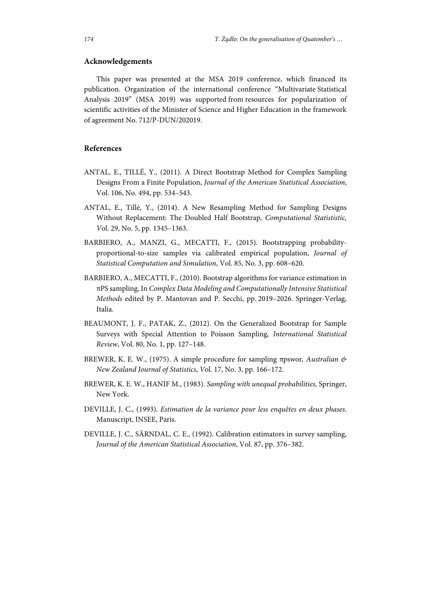## **Acknowledgements**

This paper was presented at the MSA 2019 conference, which financed its publication. Organization of the international conference "Multivariate Statistical Analysis 2019" (MSA 2019) was supported from resources for popularization of scientific activities of the Minister of Science and Higher Education in the framework of agreement No. 712/P-DUN/202019.

## **References**

- ANTAL, E., TILLÉ, Y., (2011). A Direct Bootstrap Method for Complex Sampling Designs From a Finite Population, *Journal of the American Statistical Association*, Vol. 106, No. 494, pp. 534–543.
- ANTAL, E., Tillé, Y., (2014). A New Resampling Method for Sampling Designs Without Replacement: The Doubled Half Bootstrap*, Computational Statististic, V*ol. 29, No. 5, pp. 1345–1363.
- BARBIERO, A., MANZI, G., MECATTI, F., (2015). Bootstrapping probabilityproportional-to-size samples via calibrated empirical population, *Journal of Statistical Computation and Simulation*, Vol. 85, No. 3, pp. 608–620.
- BARBIERO, A., MECATTI, F., (2010). Bootstrap algorithms for variance estimation in πPS sampling, In *Complex Data Modeling and Computationally Intensive Statistical Methods* edited by P. Mantovan and P. Secchi, pp. 2019–2026. Springer-Verlag, Italia.
- BEAUMONT, J. F., PATAK, Z., (2012). On the Generalized Bootstrap for Sample Surveys with Special Attention to Poisson Sampling*, International Statistical Review*, Vol. 80, No. 1, pp. 127–148.
- BREWER, K. E. W., (1975). A simple procedure for sampling πpswor*, Australian & New Zealand Journal of Statistics*, *V*ol. 17, No. 3, pp. 166–172.
- BREWER, K. E. W., HANIF M., (1983). *Sampling with unequal probabilities,* Springer, New York.
- DEVILLE, J. C., (1993). *Estimation de la variance pour less enquêtes en deux phases*. Manuscript, INSEE, Paris.
- DEVILLE, J. C., SÄRNDAL, C. E., (1992). Calibration estimators in survey sampling, *Journal of the American Statistical Association*, Vol. 87, pp. 376–382.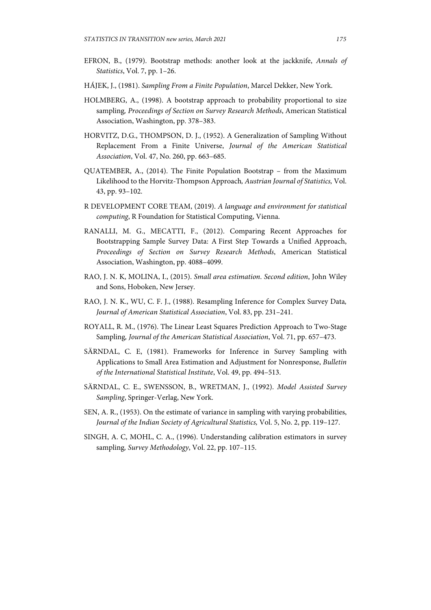- EFRON, B., (1979). Bootstrap methods: another look at the jackknife, *Annals of Statistics*, Vol. 7, pp. 1–26.
- HÁJEK, J., (1981). *Sampling From a Finite Population*, Marcel Dekker, New York.
- HOLMBERG, A., (1998). A bootstrap approach to probability proportional to size sampling*, Proceedings of Section on Survey Research Methods*, American Statistical Association, Washington, pp. 378–383.
- HORVITZ, D.G., THOMPSON, D. J., (1952). A Generalization of Sampling Without Replacement From a Finite Universe, *Journal of the American Statistical Association*, Vol. 47, No. 260, pp. 663–685.
- QUATEMBER, A., (2014). The Finite Population Bootstrap from the Maximum Likelihood to the Horvitz-Thompson Approach*, Austrian Journal of Statistics,* Vol. 43, pp. 93–102.
- R DEVELOPMENT CORE TEAM, (2019). *A language and environment for statistical computing*, R Foundation for Statistical Computing, Vienna.
- RANALLI, M. G., MECATTI, F., (2012). Comparing Recent Approaches for Bootstrapping Sample Survey Data: A First Step Towards a Unified Approach, *Proceedings of Section on Survey Research Methods*, American Statistical Association, Washington, pp. 4088–4099.
- RAO, J. N. K, MOLINA, I., (2015). *Small area estimation*. *Second edition*, John Wiley and Sons, Hoboken, New Jersey.
- RAO, J. N. K., WU, C. F. J., (1988). Resampling Inference for Complex Survey Data*, Journal of American Statistical Association*, Vol. 83, pp. 231–241.
- ROYALL, R. M., (1976). The Linear Least Squares Prediction Approach to Two-Stage Sampling*, Journal of the American Statistical Association*, Vol. 71, pp. 657–473.
- SÄRNDAL, C. E, (1981). Frameworks for Inference in Survey Sampling with Applications to Small Area Estimation and Adjustment for Nonresponse, *Bulletin of the International Statistical Institute*, Vol. 49, pp. 494–513.
- SÄRNDAL, C. E., SWENSSON, B., WRETMAN, J., (1992). *Model Assisted Survey Sampling*, Springer-Verlag, New York.
- SEN, A. R., (1953). On the estimate of variance in sampling with varying probabilities, *Journal of the Indian Society of Agricultural Statistics,* Vol. 5, No. 2, pp. 119–127.
- SINGH, A. C, MOHL, C. A., (1996). Understanding calibration estimators in survey sampling*, Survey Methodology*, Vol. 22, pp. 107–115.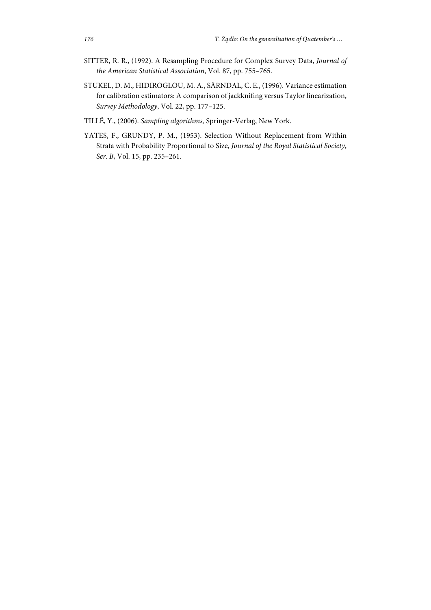- SITTER, R. R., (1992). A Resampling Procedure for Complex Survey Data, *Journal of the American Statistical Association*, Vol. 87, pp. 755–765.
- STUKEL, D. M., HIDIROGLOU, M. A., SÄRNDAL, C. E., (1996). Variance estimation for calibration estimators: A comparison of jackknifing versus Taylor linearization, *Survey Methodology*, Vol. 22, pp. 177–125.
- TILLÉ, Y., (2006). *Sampling algorithms,* Springer-Verlag, New York.
- YATES, F., GRUNDY, P. M., (1953). Selection Without Replacement from Within Strata with Probability Proportional to Size, *Journal of the Royal Statistical Society*, *Ser. B*, Vol. 15, pp. 235–261.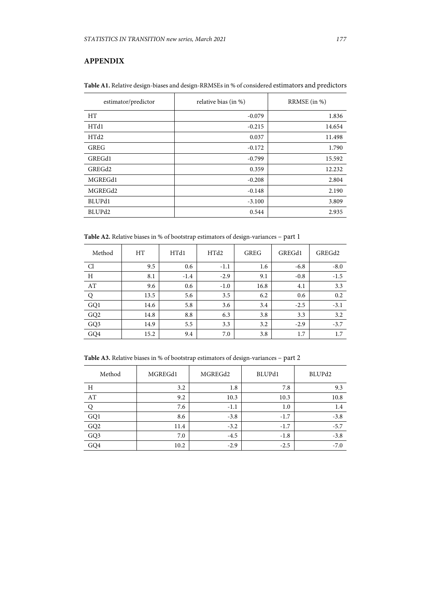## **APPENDIX**

| estimator/predictor | relative bias (in %) | RRMSE (in %) |  |
|---------------------|----------------------|--------------|--|
| <b>HT</b>           | $-0.079$             | 1.836        |  |
| HTd1                | $-0.215$             | 14.654       |  |
| HTd2                | 0.037                | 11.498       |  |
| GREG                | $-0.172$             | 1.790        |  |
| GREGd1              | $-0.799$             | 15.592       |  |
| GREG <sub>d2</sub>  | 0.359                | 12.232       |  |
| MGREGd1             | $-0.208$             | 2.804        |  |
| MGREGd2             | $-0.148$             | 2.190        |  |
| BLUPd1              | $-3.100$             | 3.809        |  |
| BLUPd2              | 0.544                | 2.935        |  |

**Table A1.** Relative design-biases and design-RRMSEs in % of considered estimators and predictors

**Table A2.** Relative biases in % of bootstrap estimators of design-variances – part 1

| Method          | <b>HT</b> | HTd1   | HTd2   | <b>GREG</b> | GREGd1 | GREGd2 |
|-----------------|-----------|--------|--------|-------------|--------|--------|
| Cl              | 9.5       | 0.6    | $-1.1$ | 1.6         | $-6.8$ | $-8.0$ |
| $\rm H$         | 8.1       | $-1.4$ | $-2.9$ | 9.1         | $-0.8$ | $-1.5$ |
| AT              | 9.6       | 0.6    | $-1.0$ | 16.8        | 4.1    | 3.3    |
|                 | 13.5      | 5.6    | 3.5    | 6.2         | 0.6    | 0.2    |
| GQ1             | 14.6      | 5.8    | 3.6    | 3.4         | $-2.5$ | $-3.1$ |
| GQ <sub>2</sub> | 14.8      | 8.8    | 6.3    | 3.8         | 3.3    | 3.2    |
| GQ3             | 14.9      | 5.5    | 3.3    | 3.2         | $-2.9$ | $-3.7$ |
| GQ4             | 15.2      | 9.4    | 7.0    | 3.8         | 1.7    | 1.7    |

**Table A3.** Relative biases in % of bootstrap estimators of design-variances – part 2

| Method                  | MGREGd1 | MGREGd2 | BLUPd1 | BLUPd <sub>2</sub> |
|-------------------------|---------|---------|--------|--------------------|
| H                       | 3.2     | 1.8     | 7.8    | 9.3                |
| $\mathbf{A} \mathbf{T}$ | 9.2     | 10.3    | 10.3   | 10.8               |
|                         | 7.6     | $-1.1$  | 1.0    | 1.4                |
| $\rm GQ1$               | 8.6     | $-3.8$  | $-1.7$ | $-3.8$             |
| $\rm GQ2$               | 11.4    | $-3.2$  | $-1.7$ | $-5.7$             |
| $\rm GQ3$               | 7.0     | $-4.5$  | $-1.8$ | $-3.8$             |
| GQ4                     | 10.2    | $-2.9$  | $-2.5$ | $-7.0$             |